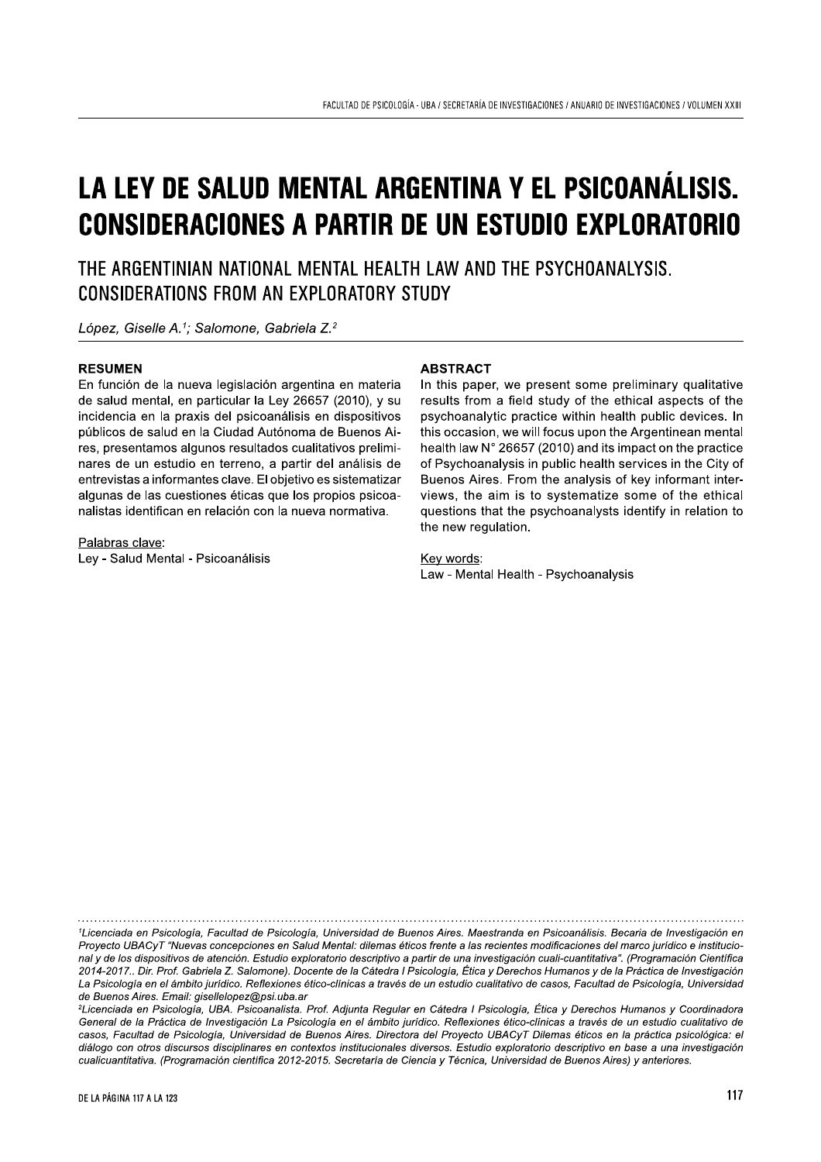# EACULTAD DE PSICOLOGÍA - UBA / SECRETARÍA DE INVESTIGACIONES / ANUARIO DE INVESTIGACIONES / VOLUMEN XXII.<br>LA LEY DE SALUD MENTAL ARGENTINA Y EL PSICOANÁLISIS.<br>CONSIDERACIONES A PARTIR DE UN ESTUDIO EXPLORATORIO

THE ARGENTINIAN NATIONAL MENTAL HEALTH LAW AND THE PSYCHOANALYSIS. CONSIDERATIONS FROM AN EXPLORATORY STUDY

López, Giselle A.<sup>1</sup>; Salomone, Gabriela Z.<sup>2</sup>

### **RESUMEN**

En función de la nueva legislación argentina en materia de salud mental, en particular la Ley 26657 (2010), y su incidencia en la praxis del psicoanálisis en dispositivos públicos de salud en la Ciudad Autónoma de Buenos Aires, presentamos algunos resultados cualitativos preliminares de un estudio en terreno, a partir del análisis de entrevistas a informantes clave. El objetivo es sistematizar algunas de las cuestiones éticas que los propios psicoanalistas identifican en relación con la nueva normativa.

Palabras clave: Ley - Salud Mental - Psicoanálisis

### **ABSTRACT**

In this paper, we present some preliminary qualitative results from a field study of the ethical aspects of the psychoanalytic practice within health public devices. In this occasion, we will focus upon the Argentinean mental health law  $N^{\circ}$  26657 (2010) and its impact on the practice of Psychoanalysis in public health services in the City of Buenos Aires. From the analysis of key informant interviews, the aim is to systematize some of the ethical questions that the psychoanalysts identify in relation to the new regulation.

Key words: Law - Mental Health - Psychoanalysis

<sup>1</sup>Licenciada en Psicología, Facultad de Psicología, Universidad de Buenos Aires. Maestranda en Psicoanálisis. Becaria de Investigación en Provecto UBACyT "Nuevas concepciones en Salud Mental: dilemas éticos frente a las recientes modificaciones del marco jurídico e institucional y de los dispositivos de atención. Estudio exploratorio descriptivo a partir de una investigación cuali-cuantitativa". (Programación Científica 2014-2017.. Dir. Prof. Gabriela Z. Salomone). Docente de la Cátedra I Psicología, Ética y Derechos Humanos y de la Práctica de Investigación La Psicología en el ámbito jurídico. Reflexiones ético-clínicas a través de un estudio cualitativo de casos, Facultad de Psicología, Universidad de Buenos Aires. Email: gisellelopez@psi.uba.ar

<sup>2</sup>Licenciada en Psicología, UBA. Psicoanalista. Prof. Adjunta Regular en Cátedra I Psicología, Ética y Derechos Humanos y Coordinadora General de la Práctica de Investigación La Psicología en el ámbito jurídico. Reflexiones ético-clínicas a través de un estudio cualitativo de casos, Facultad de Psicología, Universidad de Buenos Aires. Directora del Proyecto UBACyT Dilemas éticos en la práctica psicológica: el diálogo con otros discursos disciplinares en contextos institucionales diversos. Estudio exploratorio descriptivo en base a una investigación cualicuantitativa. (Programación científica 2012-2015. Secretaría de Ciencia y Técnica, Universidad de Buenos Aires) y anteriores.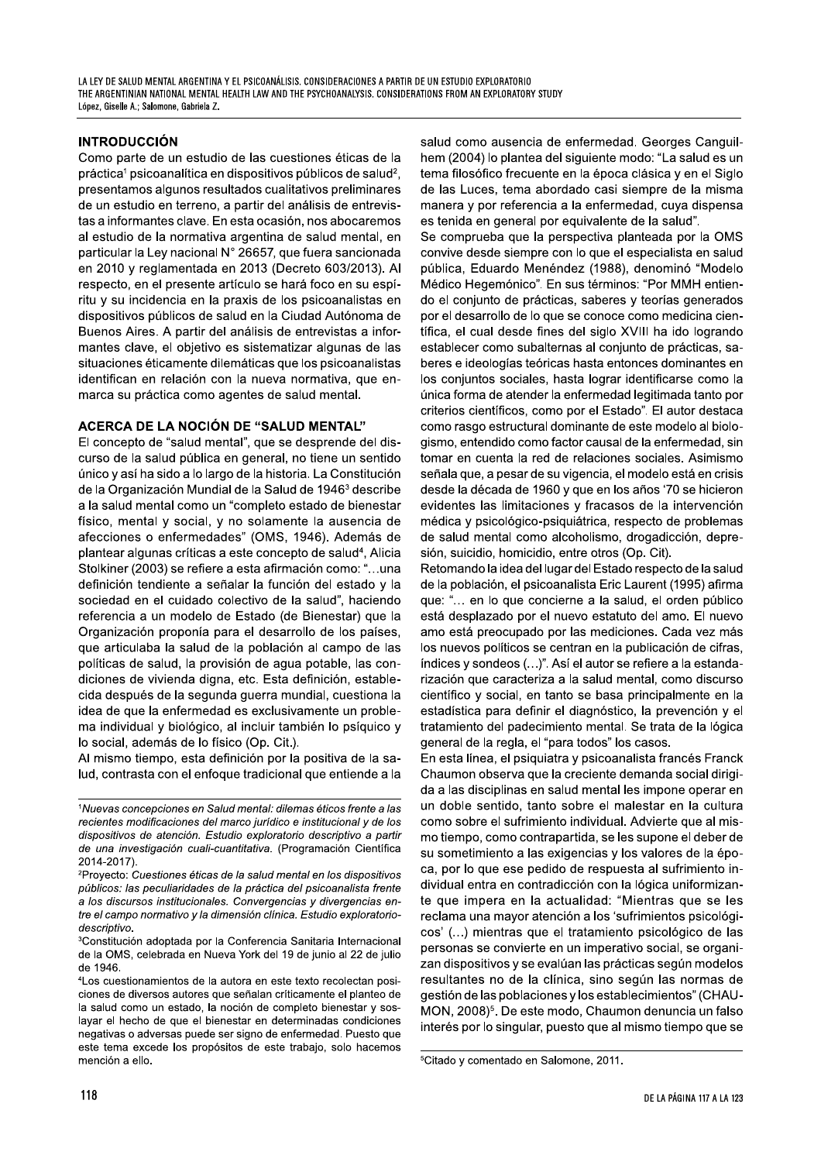## **INTRODUCCIÓN**

Como parte de un estudio de las cuestiones éticas de la práctica<sup>1</sup> psicoanalítica en dispositivos públicos de salud<sup>2</sup>, presentamos algunos resultados cualitativos preliminares de un estudio en terreno, a partir del análisis de entrevistas a informantes clave. En esta ocasión, nos abocaremos al estudio de la normativa argentina de salud mental, en particular la Ley nacional N° 26657, que fuera sancionada en 2010 y reglamentada en 2013 (Decreto 603/2013). Al respecto, en el presente artículo se hará foco en su espíritu y su incidencia en la praxis de los psicoanalistas en dispositivos públicos de salud en la Ciudad Autónoma de Buenos Aires. A partir del análisis de entrevistas a informantes clave, el objetivo es sistematizar algunas de las situaciones éticamente dilemáticas que los psicoanalistas identifican en relación con la nueva normativa, que enmarca su práctica como agentes de salud mental.

## ACERCA DE LA NOCIÓN DE "SALUD MENTAL"

El concepto de "salud mental", que se desprende del discurso de la salud pública en general, no tiene un sentido único y así ha sido a lo largo de la historia. La Constitución de la Organización Mundial de la Salud de 1946<sup>3</sup> describe a la salud mental como un "completo estado de bienestar físico, mental y social, y no solamente la ausencia de afecciones o enfermedades" (OMS, 1946). Además de plantear algunas críticas a este concepto de salud<sup>4</sup>, Alicia Stolkiner (2003) se refiere a esta afirmación como: "...una definición tendiente a señalar la función del estado y la sociedad en el cuidado colectivo de la salud", haciendo referencia a un modelo de Estado (de Bienestar) que la Organización proponía para el desarrollo de los países, que articulaba la salud de la población al campo de las políticas de salud, la provisión de agua potable, las condiciones de vivienda digna, etc. Esta definición, establecida después de la segunda guerra mundial, cuestiona la idea de que la enfermedad es exclusivamente un problema individual y biológico, al incluir también lo psíquico y lo social, además de lo físico (Op. Cit.).

Al mismo tiempo, esta definición por la positiva de la salud, contrasta con el enfoque tradicional que entiende a la

salud como ausencia de enfermedad. Georges Canguilhem (2004) lo plantea del siguiente modo: "La salud es un tema filosófico frecuente en la época clásica y en el Siglo de las Luces, tema abordado casi siempre de la misma manera y por referencia a la enfermedad, cuya dispensa es tenida en general por equivalente de la salud".

Se comprueba que la perspectiva planteada por la OMS convive desde siempre con lo que el especialista en salud pública, Eduardo Menéndez (1988), denominó "Modelo Médico Hegemónico". En sus términos: "Por MMH entiendo el conjunto de prácticas, saberes y teorías generados por el desarrollo de lo que se conoce como medicina científica, el cual desde fines del siglo XVIII ha ido logrando establecer como subalternas al conjunto de prácticas, saberes e ideologías teóricas hasta entonces dominantes en los conjuntos sociales, hasta lograr identificarse como la única forma de atender la enfermedad legitimada tanto por criterios científicos, como por el Estado". El autor destaca como rasgo estructural dominante de este modelo al biologismo, entendido como factor causal de la enfermedad, sin tomar en cuenta la red de relaciones sociales. Asimismo señala que, a pesar de su vigencia, el modelo está en crisis desde la década de 1960 y que en los años '70 se hicieron evidentes las limitaciones y fracasos de la intervención médica y psicológico-psiquiátrica, respecto de problemas de salud mental como alcoholismo, drogadicción, depresión, suicidio, homicidio, entre otros (Op. Cit).

Retomando la idea del lugar del Estado respecto de la salud de la población, el psicoanalista Eric Laurent (1995) afirma que: "... en lo que concierne a la salud, el orden público está desplazado por el nuevo estatuto del amo. El nuevo amo está preocupado por las mediciones. Cada vez más los nuevos políticos se centran en la publicación de cifras, índices y sondeos (...)". Así el autor se refiere a la estandarización que caracteriza a la salud mental, como discurso científico y social, en tanto se basa principalmente en la estadística para definir el diagnóstico, la prevención y el tratamiento del padecimiento mental. Se trata de la lógica general de la regla, el "para todos" los casos.

En esta línea, el psiquiatra y psicoanalista francés Franck Chaumon observa que la creciente demanda social dirigida a las disciplinas en salud mental les impone operar en un doble sentido, tanto sobre el malestar en la cultura como sobre el sufrimiento individual. Advierte que al mismo tiempo, como contrapartida, se les supone el deber de su sometimiento a las exigencias y los valores de la época, por lo que ese pedido de respuesta al sufrimiento individual entra en contradicción con la lógica uniformizante que impera en la actualidad: "Mientras que se les reclama una mayor atención a los 'sufrimientos psicológicos' (...) mientras que el tratamiento psicológico de las personas se convierte en un imperativo social, se organizan dispositivos y se evalúan las prácticas según modelos resultantes no de la clínica, sino según las normas de qestión de las poblaciones y los establecimientos" (CHAU-MON, 2008)<sup>5</sup>. De este modo, Chaumon denuncia un falso interés por lo singular, puesto que al mismo tiempo que se

<sup>&</sup>lt;sup>1</sup>Nuevas concepciones en Salud mental: dilemas éticos frente a las recientes modificaciones del marco jurídico e institucional y de los dispositivos de atención. Estudio exploratorio descriptivo a partir de una investigación cuali-cuantitativa. (Programación Científica 2014-2017)

<sup>&</sup>lt;sup>2</sup>Proyecto: Cuestiones éticas de la salud mental en los dispositivos públicos: las peculiaridades de la práctica del psicoanalista frente a los discursos institucionales. Convergencias y divergencias entre el campo normativo y la dimensión clínica. Estudio exploratoriodescriptivo.

<sup>&</sup>lt;sup>3</sup>Constitución adoptada por la Conferencia Sanitaria Internacional de la OMS, celebrada en Nueva York del 19 de junio al 22 de julio de 1946

<sup>&</sup>lt;sup>4</sup> Los cuestionamientos de la autora en este texto recolectan posiciones de diversos autores que señalan críticamente el planteo de la salud como un estado, la noción de completo bienestar y soslayar el hecho de que el bienestar en determinadas condiciones negativas o adversas puede ser signo de enfermedad. Puesto que este tema excede los propósitos de este trabajo, solo hacemos mención a ello.

<sup>&</sup>lt;sup>5</sup>Citado y comentado en Salomone, 2011.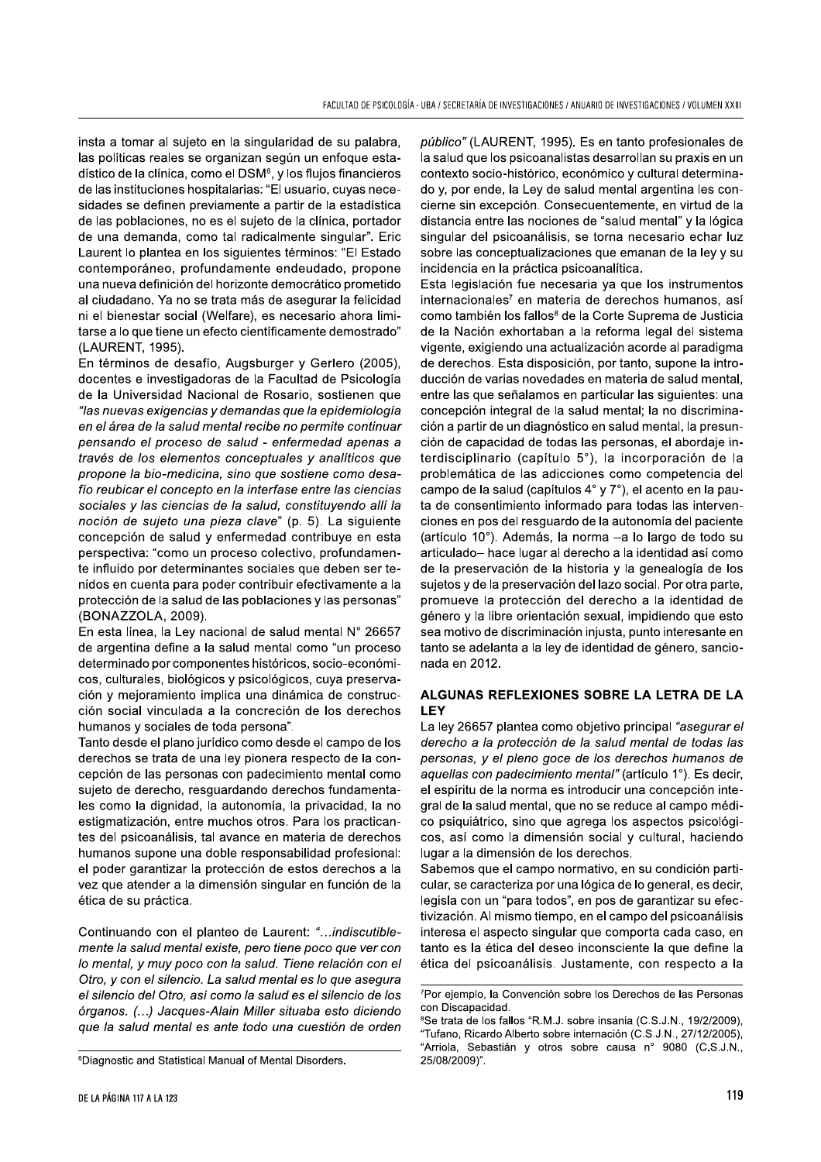insta a tomar al sujeto en la singularidad de su palabra, las políticas reales se organizan según un enfoque estadístico de la clínica, como el DSM<sup>6</sup>, y los flujos financieros de las instituciones hospitalarias: "El usuario, cuyas necesidades se definen previamente a partir de la estadística de las poblaciones, no es el sujeto de la clínica, portador de una demanda, como tal radicalmente singular". Eric Laurent lo plantea en los siguientes términos: "El Estado contemporáneo, profundamente endeudado, propone una nueva definición del horizonte democrático prometido al ciudadano. Ya no se trata más de asegurar la felicidad ni el bienestar social (Welfare), es necesario ahora limitarse a lo que tiene un efecto científicamente demostrado" (LAURENT, 1995).

En términos de desafío, Augsburger y Gerlero (2005), docentes e investigadoras de la Facultad de Psicología de la Universidad Nacional de Rosario, sostienen que "las nuevas exigencias y demandas que la epidemiología en el área de la salud mental recibe no permite continuar pensando el proceso de salud - enfermedad apenas a través de los elementos conceptuales y analíticos que propone la bio-medicina, sino que sostiene como desafío reubicar el concepto en la interfase entre las ciencias sociales y las ciencias de la salud, constituyendo allí la noción de sujeto una pieza clave" (p. 5). La siguiente concepción de salud y enfermedad contribuye en esta perspectiva: "como un proceso colectivo, profundamente influido por determinantes sociales que deben ser tenidos en cuenta para poder contribuir efectivamente a la protección de la salud de las poblaciones y las personas" (BONAZZOLA, 2009).

En esta línea, la Ley nacional de salud mental N° 26657 de argentina define a la salud mental como "un proceso determinado por componentes históricos, socio-económicos, culturales, biológicos y psicológicos, cuya preservación y mejoramiento implica una dinámica de construcción social vinculada a la concreción de los derechos humanos y sociales de toda persona".

Tanto desde el plano jurídico como desde el campo de los derechos se trata de una ley pionera respecto de la concepción de las personas con padecimiento mental como sujeto de derecho, resguardando derechos fundamentales como la dignidad, la autonomía, la privacidad, la no estigmatización, entre muchos otros. Para los practicantes del psicoanálisis, tal avance en materia de derechos humanos supone una doble responsabilidad profesional: el poder garantizar la protección de estos derechos a la vez que atender a la dimensión singular en función de la ética de su práctica.

Continuando con el planteo de Laurent: "...indiscutiblemente la salud mental existe, pero tiene poco que ver con lo mental, y muy poco con la salud. Tiene relación con el Otro, y con el silencio. La salud mental es lo que asegura el silencio del Otro, así como la salud es el silencio de los órganos. (...) Jacques-Alain Miller situaba esto diciendo que la salud mental es ante todo una cuestión de orden público" (LAURENT, 1995). Es en tanto profesionales de la salud que los psicoanalistas desarrollan su praxis en un contexto socio-histórico, económico y cultural determinado y, por ende, la Ley de salud mental argentina les concierne sin excepción. Consecuentemente, en virtud de la distancia entre las nociones de "salud mental" y la lógica singular del psicoanálisis, se torna necesario echar luz sobre las conceptualizaciones que emanan de la ley y su incidencia en la práctica psicoanalítica.

Esta legislación fue necesaria ya que los instrumentos internacionales<sup>7</sup> en materia de derechos humanos, así como también los fallos<sup>8</sup> de la Corte Suprema de Justicia de la Nación exhortaban a la reforma legal del sistema vigente, exigiendo una actualización acorde al paradigma de derechos. Esta disposición, por tanto, supone la introducción de varias novedades en materia de salud mental, entre las que señalamos en particular las siguientes: una concepción integral de la salud mental; la no discriminación a partir de un diagnóstico en salud mental, la presunción de capacidad de todas las personas, el abordaje interdisciplinario (capítulo 5°), la incorporación de la problemática de las adicciones como competencia del campo de la salud (capítulos 4° y 7°), el acento en la pauta de consentimiento informado para todas las intervenciones en pos del resguardo de la autonomía del paciente (artículo 10°). Además, la norma -a lo largo de todo su articulado-hace lugar al derecho a la identidad así como de la preservación de la historia y la genealogía de los sujetos y de la preservación del lazo social. Por otra parte, promueve la protección del derecho a la identidad de género y la libre orientación sexual, impidiendo que esto sea motivo de discriminación injusta, punto interesante en tanto se adelanta a la ley de identidad de género, sancionada en 2012.

## ALGUNAS REFLEXIONES SOBRE LA LETRA DE LA **LEY**

La ley 26657 plantea como objetivo principal "asegurar el derecho a la protección de la salud mental de todas las personas, y el pleno goce de los derechos humanos de aquellas con padecimiento mental" (artículo 1°). Es decir, el espíritu de la norma es introducir una concepción integral de la salud mental, que no se reduce al campo médico psiquiátrico, sino que agrega los aspectos psicológicos, así como la dimensión social y cultural, haciendo lugar a la dimensión de los derechos.

Sabemos que el campo normativo, en su condición particular, se caracteriza por una lógica de lo general, es decir, legisla con un "para todos", en pos de garantizar su efectivización. Al mismo tiempo, en el campo del psicoanálisis interesa el aspecto singular que comporta cada caso, en tanto es la ética del deseo inconsciente la que define la ética del psicoanálisis. Justamente, con respecto a la

<sup>&</sup>lt;sup>6</sup>Diagnostic and Statistical Manual of Mental Disorders.

<sup>&</sup>lt;sup>7</sup>Por ejemplo, la Convención sobre los Derechos de las Personas con Discapacidad.

<sup>&</sup>lt;sup>8</sup>Se trata de los fallos "R.M.J. sobre insania (C.S.J.N., 19/2/2009),

<sup>&</sup>quot;Tufano, Ricardo Alberto sobre internación (C.S.J.N., 27/12/2005), "Arriola, Sebastián y otros sobre causa nº 9080 (C.S.J.N., 25/08/2009)".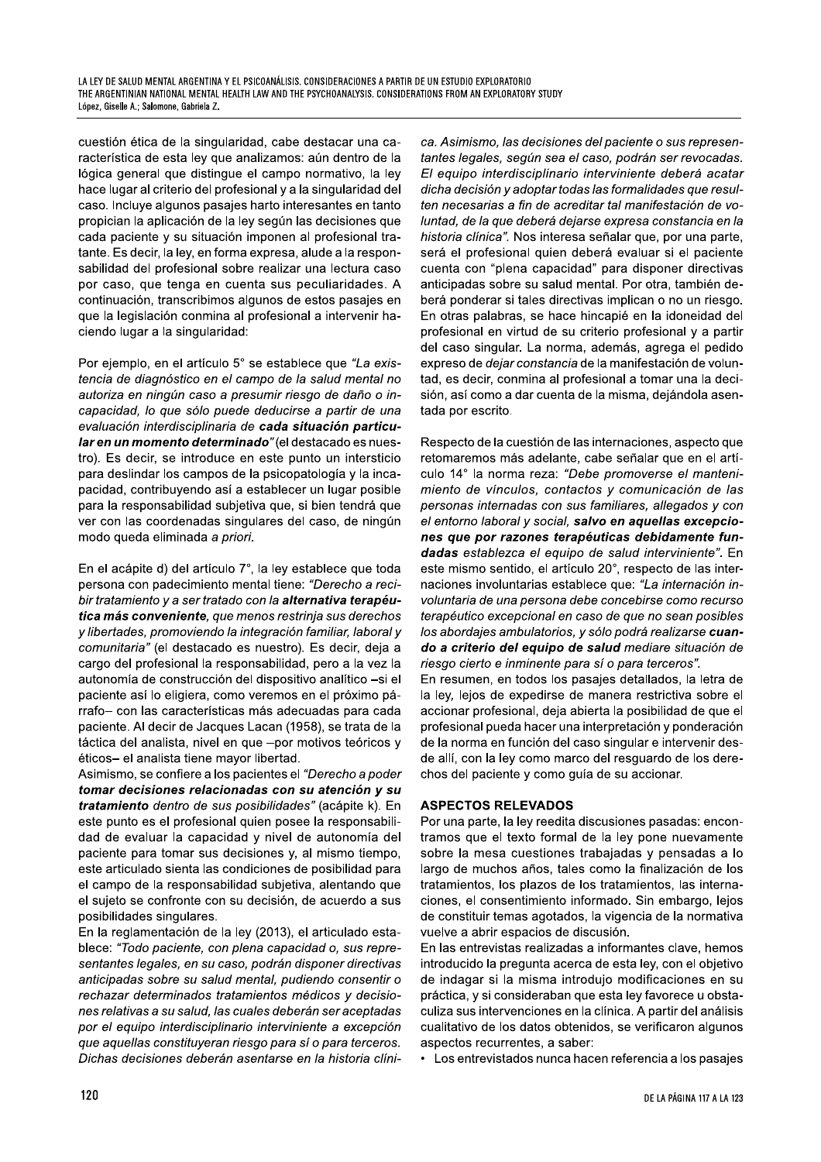cuestión ética de la singularidad, cabe destacar una característica de esta ley que analizamos: aún dentro de la lógica general que distingue el campo normativo, la ley hace lugar al criterio del profesional y a la singularidad del caso. Incluye algunos pasajes harto interesantes en tanto propician la aplicación de la ley según las decisiones que cada paciente y su situación imponen al profesional tratante. Es decir, la ley, en forma expresa, alude a la responsabilidad del profesional sobre realizar una lectura caso por caso, que tenga en cuenta sus peculiaridades. A continuación, transcribimos algunos de estos pasajes en que la legislación conmina al profesional a intervenir haciendo lugar a la singularidad:

Por ejemplo, en el artículo 5° se establece que "La existencia de diagnóstico en el campo de la salud mental no autoriza en ningún caso a presumir riesgo de daño o incapacidad, lo que sólo puede deducirse a partir de una evaluación interdisciplinaria de cada situación particular en un momento determinado" (el destacado es nuestro). Es decir, se introduce en este punto un intersticio para deslindar los campos de la psicopatología y la incapacidad, contribuyendo así a establecer un lugar posible para la responsabilidad subjetiva que, si bien tendrá que ver con las coordenadas singulares del caso, de ningún modo queda eliminada a priori.

En el acápite d) del artículo 7°, la ley establece que toda persona con padecimiento mental tiene: "Derecho a recibir tratamiento y a ser tratado con la alternativa terapéutica más conveniente, que menos restrinia sus derechos y libertades, promoviendo la integración familiar, laboral y comunitaria" (el destacado es nuestro). Es decir, deja a cargo del profesional la responsabilidad, pero a la vez la autonomía de construcción del dispositivo analítico -si el paciente así lo eligiera, como veremos en el próximo párrafo- con las características más adecuadas para cada paciente. Al decir de Jacques Lacan (1958), se trata de la táctica del analista, nivel en que -por motivos teóricos y éticos- el analista tiene mayor libertad.

Asimismo, se confiere a los pacientes el "Derecho a poder tomar decisiones relacionadas con su atención y su tratamiento dentro de sus posibilidades" (acápite k). En este punto es el profesional quien posee la responsabilidad de evaluar la capacidad y nivel de autonomía del paciente para tomar sus decisiones y, al mismo tiempo, este articulado sienta las condiciones de posibilidad para el campo de la responsabilidad subjetiva, alentando que el sujeto se confronte con su decisión, de acuerdo a sus posibilidades singulares.

En la reglamentación de la ley (2013), el articulado establece: "Todo paciente, con plena capacidad o, sus representantes legales, en su caso, podrán disponer directivas anticipadas sobre su salud mental, pudiendo consentir o rechazar determinados tratamientos médicos y decisiones relativas a su salud, las cuales deberán ser aceptadas por el equipo interdisciplinario interviniente a excepción que aquellas constituyeran riesgo para sí o para terceros. Dichas decisiones deberán asentarse en la historia clíni-

ca. Asimismo, las decisiones del paciente o sus representantes legales, según sea el caso, podrán ser revocadas. El equipo interdisciplinario interviniente deberá acatar dicha decisión y adoptar todas las formalidades que resulten necesarias a fin de acreditar tal manifestación de voluntad, de la que deberá dejarse expresa constancia en la historia clínica". Nos interesa señalar que, por una parte, será el profesional quien deberá evaluar si el paciente cuenta con "plena capacidad" para disponer directivas anticipadas sobre su salud mental. Por otra, también deberá ponderar si tales directivas implican o no un riesgo. En otras palabras, se hace hincapié en la idoneidad del profesional en virtud de su criterio profesional y a partir del caso singular. La norma, además, agrega el pedido expreso de dejar constancia de la manifestación de voluntad, es decir, conmina al profesional a tomar una la decisión, así como a dar cuenta de la misma, dejándola asentada por escrito.

Respecto de la cuestión de las internaciones, aspecto que retomaremos más adelante, cabe señalar que en el artículo 14° la norma reza: "Debe promoverse el mantenimiento de vínculos, contactos y comunicación de las personas internadas con sus familiares, allegados y con el entorno laboral y social, salvo en aquellas excepciones que por razones terapéuticas debidamente fundadas establezca el equipo de salud interviniente". En este mismo sentido, el artículo 20°, respecto de las internaciones involuntarias establece que: "La internación involuntaria de una persona debe concebirse como recurso terapéutico excepcional en caso de que no sean posibles los abordajes ambulatorios, y sólo podrá realizarse cuando a criterio del equipo de salud mediare situación de riesgo cierto e inminente para sí o para terceros".

En resumen, en todos los pasajes detallados, la letra de la ley, lejos de expedirse de manera restrictiva sobre el accionar profesional, deja abierta la posibilidad de que el profesional pueda hacer una interpretación y ponderación de la norma en función del caso singular e intervenir desde allí, con la ley como marco del resguardo de los derechos del paciente y como guía de su accionar.

## **ASPECTOS RELEVADOS**

Por una parte, la ley reedita discusiones pasadas: encontramos que el texto formal de la ley pone nuevamente sobre la mesa cuestiones trabajadas y pensadas a lo largo de muchos años, tales como la finalización de los tratamientos, los plazos de los tratamientos, las internaciones, el consentimiento informado. Sin embargo, lejos de constituir temas agotados, la vigencia de la normativa vuelve a abrir espacios de discusión.

En las entrevistas realizadas a informantes clave, hemos introducido la pregunta acerca de esta ley, con el objetivo de indagar si la misma introdujo modificaciones en su práctica, y si consideraban que esta ley favorece u obstaculiza sus intervenciones en la clínica. A partir del análisis cualitativo de los datos obtenidos, se verificaron algunos aspectos recurrentes, a saber:

• Los entrevistados nunca hacen referencia a los pasajes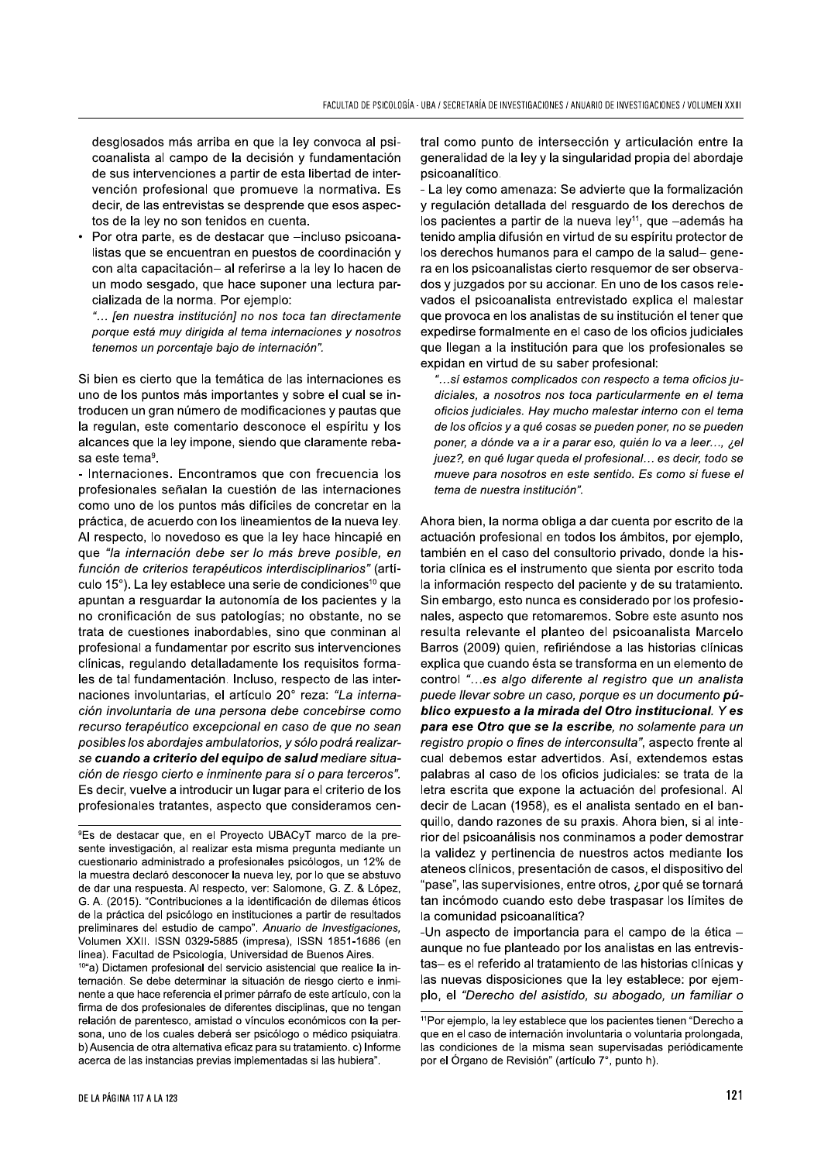desglosados más arriba en que la ley convoca al psicoanalista al campo de la decisión y fundamentación de sus intervenciones a partir de esta libertad de intervención profesional que promueve la normativa. Es decir, de las entrevistas se desprende que esos aspectos de la ley no son tenidos en cuenta.

Por otra parte, es de destacar que -incluso psicoanalistas que se encuentran en puestos de coordinación y con alta capacitación- al referirse a la ley lo hacen de un modo sesgado, que hace suponer una lectura parcializada de la norma. Por ejemplo:

"... [en nuestra institución] no nos toca tan directamente porque está muy dirigida al tema internaciones y nosotros tenemos un porcentaje bajo de internación".

Si bien es cierto que la temática de las internaciones es uno de los puntos más importantes y sobre el cual se introducen un gran número de modificaciones y pautas que la regulan, este comentario desconoce el espíritu y los alcances que la ley impone, siendo que claramente rebasa este tema<sup>9</sup>.

- Internaciones. Encontramos que con frecuencia los profesionales señalan la cuestión de las internaciones como uno de los puntos más difíciles de concretar en la práctica, de acuerdo con los lineamientos de la nueva ley. Al respecto, lo novedoso es que la ley hace hincapié en que "la internación debe ser lo más breve posible, en función de criterios terapéuticos interdisciplinarios" (artículo 15°). La ley establece una serie de condiciones<sup>10</sup> que apuntan a resquardar la autonomía de los pacientes y la no cronificación de sus patologías; no obstante, no se trata de cuestiones inabordables, sino que conminan al profesional a fundamentar por escrito sus intervenciones clínicas, regulando detalladamente los reguisitos formales de tal fundamentación. Incluso, respecto de las internaciones involuntarias, el artículo 20° reza: "La internación involuntaria de una persona debe concebirse como recurso terapéutico excepcional en caso de que no sean posibles los abordajes ambulatorios, y sólo podrá realizarse cuando a criterio del equipo de salud mediare situación de riesgo cierto e inminente para sí o para terceros". Es decir, vuelve a introducir un lugar para el criterio de los profesionales tratantes, aspecto que consideramos cen-

<sup>9</sup>Es de destacar que, en el Proyecto UBACyT marco de la presente investigación, al realizar esta misma pregunta mediante un cuestionario administrado a profesionales psicólogos, un 12% de la muestra declaró desconocer la nueva ley, por lo que se abstuvo de dar una respuesta. Al respecto, ver: Salomone, G. Z. & López, G. A. (2015). "Contribuciones a la identificación de dilemas éticos de la práctica del psicólogo en instituciones a partir de resultados preliminares del estudio de campo". Anuario de Investigaciones, Volumen XXII. ISSN 0329-5885 (impresa), ISSN 1851-1686 (en línea). Facultad de Psicología, Universidad de Buenos Aires.

10"a) Dictamen profesional del servicio asistencial que realice la internación. Se debe determinar la situación de riesgo cierto e inminente a que hace referencia el primer párrafo de este artículo, con la firma de dos profesionales de diferentes disciplinas, que no tengan relación de parentesco, amistad o vínculos económicos con la persona, uno de los cuales deberá ser psicólogo o médico psiquiatra. b) Ausencia de otra alternativa eficaz para su tratamiento. c) Informe acerca de las instancias previas implementadas si las hubiera".

- La ley como amenaza: Se advierte que la formalización y regulación detallada del resguardo de los derechos de los pacientes a partir de la nueva ley<sup>11</sup>, que -además ha tenido amplia difusión en virtud de su espíritu protector de los derechos humanos para el campo de la salud-genera en los psicoanalistas cierto resquemor de ser observados y juzgados por su accionar. En uno de los casos relevados el psicoanalista entrevistado explica el malestar que provoca en los analistas de su institución el tener que expedirse formalmente en el caso de los oficios judiciales que llegan a la institución para que los profesionales se expidan en virtud de su saber profesional:

"...sí estamos complicados con respecto a tema oficios judiciales, a nosotros nos toca particularmente en el tema oficios judiciales. Hay mucho malestar interno con el tema de los oficios y a qué cosas se pueden poner, no se pueden poner, a dónde va a ir a parar eso, quién lo va a leer..., ¿el juez?, en qué lugar queda el profesional... es decir, todo se mueve para nosotros en este sentido. Es como si fuese el tema de nuestra institución".

Ahora bien, la norma obliga a dar cuenta por escrito de la actuación profesional en todos los ámbitos, por ejemplo, también en el caso del consultorio privado, donde la historia clínica es el instrumento que sienta por escrito toda la información respecto del paciente y de su tratamiento. Sin embargo, esto nunca es considerado por los profesionales, aspecto que retomaremos. Sobre este asunto nos resulta relevante el planteo del psicoanalista Marcelo Barros (2009) quien, refiriéndose a las historias clínicas explica que cuando ésta se transforma en un elemento de control "...es algo diferente al registro que un analista puede llevar sobre un caso, porque es un documento público expuesto a la mirada del Otro institucional. Y es para ese Otro que se la escribe, no solamente para un registro propio o fines de interconsulta", aspecto frente al cual debemos estar advertidos. Así, extendemos estas palabras al caso de los oficios judiciales: se trata de la letra escrita que expone la actuación del profesional. Al decir de Lacan (1958), es el analista sentado en el banquillo, dando razones de su praxis. Ahora bien, si al interior del psicoanálisis nos conminamos a poder demostrar la validez y pertinencia de nuestros actos mediante los ateneos clínicos, presentación de casos, el dispositivo del "pase", las supervisiones, entre otros, ¿por qué se tornará tan incómodo cuando esto debe traspasar los límites de la comunidad psicoanalítica?

-Un aspecto de importancia para el campo de la ética aunque no fue planteado por los analistas en las entrevistas- es el referido al tratamiento de las historias clínicas y las nuevas disposiciones que la ley establece: por ejemplo, el "Derecho del asistido, su abogado, un familiar o

<sup>&</sup>lt;sup>11</sup>Por ejemplo, la ley establece que los pacientes tienen "Derecho a que en el caso de internación involuntaria o voluntaria prolongada, las condiciones de la misma sean supervisadas periódicamente por el Órgano de Revisión" (artículo 7°, punto h).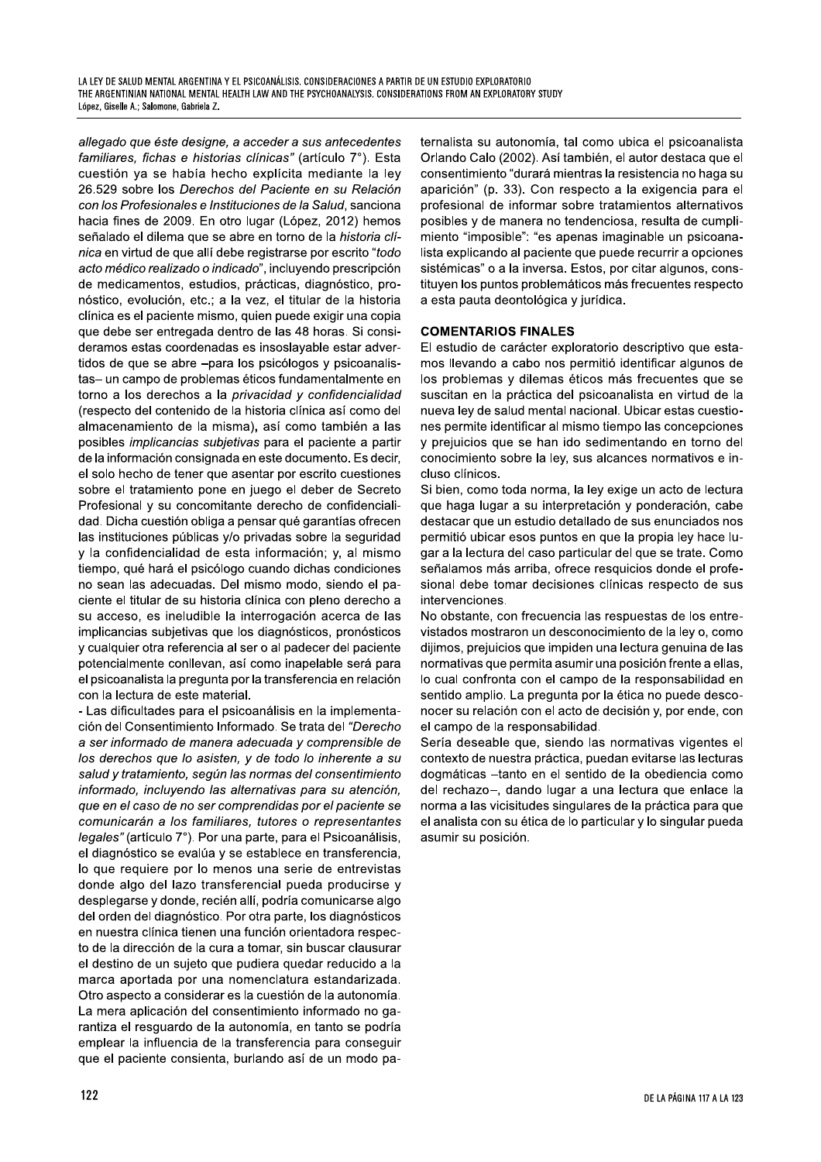allegado que éste designe, a acceder a sus antecedentes familiares, fichas e historias clínicas" (artículo 7°). Esta cuestión ya se había hecho explícita mediante la ley 26.529 sobre los Derechos del Paciente en su Relación con los Profesionales e Instituciones de la Salud, sanciona hacia fines de 2009. En otro lugar (López, 2012) hemos señalado el dilema que se abre en torno de la historia clínica en virtud de que allí debe registrarse por escrito "todo" acto médico realizado o indicado", incluyendo prescripción de medicamentos, estudios, prácticas, diagnóstico, pronóstico, evolución, etc.; a la vez, el titular de la historia clínica es el paciente mismo, quien puede exigir una copia que debe ser entregada dentro de las 48 horas. Si consideramos estas coordenadas es insoslayable estar advertidos de que se abre -para los psicólogos y psicoanalistas-un campo de problemas éticos fundamentalmente en torno a los derechos a la privacidad y confidencialidad (respecto del contenido de la historia clínica así como del almacenamiento de la misma), así como también a las posibles implicancias subjetivas para el paciente a partir de la información consignada en este documento. Es decir, el solo hecho de tener que asentar por escrito cuestiones sobre el tratamiento pone en juego el deber de Secreto Profesional y su concomitante derecho de confidencialidad. Dicha cuestión obliga a pensar qué garantías ofrecen las instituciones públicas y/o privadas sobre la seguridad y la confidencialidad de esta información; y, al mismo tiempo, qué hará el psicólogo cuando dichas condiciones no sean las adecuadas. Del mismo modo, siendo el paciente el titular de su historia clínica con pleno derecho a su acceso, es ineludible la interrogación acerca de las implicancias subjetivas que los diagnósticos, pronósticos y cualquier otra referencia al ser o al padecer del paciente potencialmente conllevan, así como inapelable será para el psicoanalista la pregunta por la transferencia en relación con la lectura de este material.

- Las dificultades para el psicoanálisis en la implementación del Consentimiento Informado. Se trata del "Derecho a ser informado de manera adecuada y comprensible de los derechos que lo asisten, y de todo lo inherente a su salud y tratamiento, según las normas del consentimiento informado, incluyendo las alternativas para su atención, que en el caso de no ser comprendidas por el paciente se comunicarán a los familiares, tutores o representantes legales" (artículo 7°). Por una parte, para el Psicoanálisis, el diagnóstico se evalúa y se establece en transferencia, lo que requiere por lo menos una serie de entrevistas donde algo del lazo transferencial pueda producirse y desplegarse y donde, recién allí, podría comunicarse algo del orden del diagnóstico. Por otra parte, los diagnósticos en nuestra clínica tienen una función orientadora respecto de la dirección de la cura a tomar, sin buscar clausurar el destino de un sujeto que pudiera quedar reducido a la marca aportada por una nomenclatura estandarizada. Otro aspecto a considerar es la cuestión de la autonomía. La mera aplicación del consentimiento informado no garantiza el resguardo de la autonomía, en tanto se podría emplear la influencia de la transferencia para conseguir que el paciente consienta, burlando así de un modo paternalista su autonomía, tal como ubica el psicoanalista Orlando Calo (2002). Así también, el autor destaca que el consentimiento "durará mientras la resistencia no haga su aparición" (p. 33). Con respecto a la exigencia para el profesional de informar sobre tratamientos alternativos posibles y de manera no tendenciosa, resulta de cumplimiento "imposible": "es apenas imaginable un psicoanalista explicando al paciente que puede recurrir a opciones sistémicas" o a la inversa. Estos, por citar algunos, constituyen los puntos problemáticos más frecuentes respecto a esta pauta deontológica y jurídica.

# **COMENTARIOS FINALES**

El estudio de carácter exploratorio descriptivo que estamos llevando a cabo nos permitió identificar algunos de los problemas y dilemas éticos más frecuentes que se suscitan en la práctica del psicoanalista en virtud de la nueva ley de salud mental nacional. Ubicar estas cuestiones permite identificar al mismo tiempo las concepciones y prejuicios que se han ido sedimentando en torno del conocimiento sobre la ley, sus alcances normativos e incluso clínicos.

Si bien, como toda norma, la ley exige un acto de lectura que haga lugar a su interpretación y ponderación, cabe destacar que un estudio detallado de sus enunciados nos permitió ubicar esos puntos en que la propia ley hace lugar a la lectura del caso particular del que se trate. Como señalamos más arriba, ofrece resquicios donde el profesional debe tomar decisiones clínicas respecto de sus intervenciones.

No obstante, con frecuencia las respuestas de los entrevistados mostraron un desconocimiento de la lev o, como dijimos, prejuicios que impiden una lectura genuina de las normativas que permita asumir una posición frente a ellas, lo cual confronta con el campo de la responsabilidad en sentido amplio. La pregunta por la ética no puede desconocer su relación con el acto de decisión y, por ende, con el campo de la responsabilidad.

Sería deseable que, siendo las normativas vigentes el contexto de nuestra práctica, puedan evitarse las lecturas dogmáticas -- tanto en el sentido de la obediencia como del rechazo-, dando lugar a una lectura que enlace la norma a las vicisitudes singulares de la práctica para que el analista con su ética de lo particular y lo singular pueda asumir su posición.